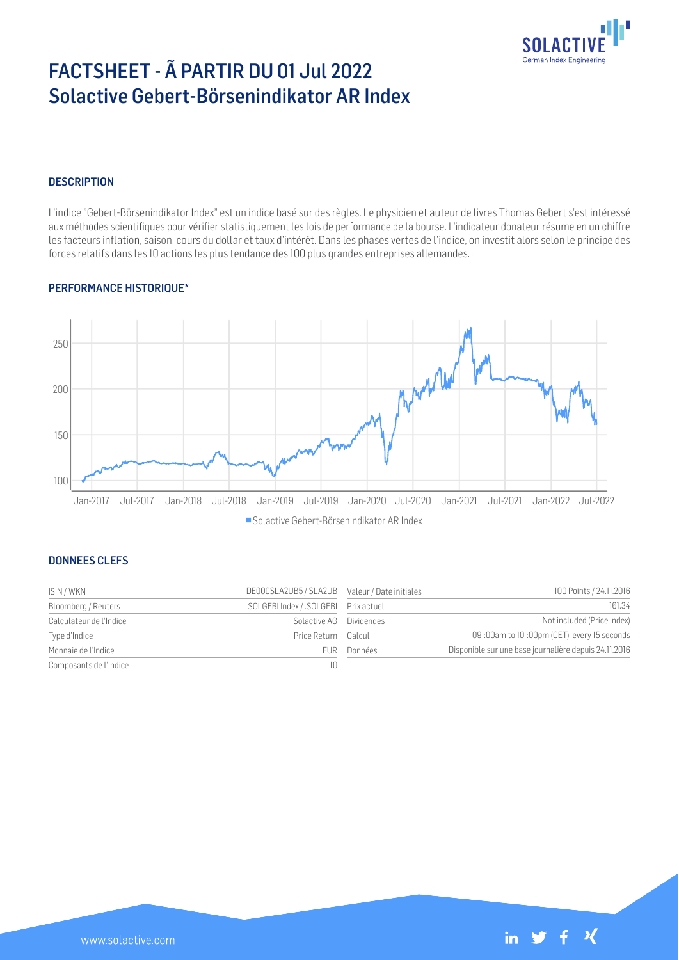

# FACTSHEET - Ã PARTIR DU 01 Jul 2022 Solactive Gebert-Börsenindikator AR Index

## **DESCRIPTION**

L'indice "Gebert-Börsenindikator Index" est un indice basé sur des règles. Le physicien et auteur de livres Thomas Gebert s'est intéressé aux méthodes scientifiques pour vérifier statistiquement les lois de performance de la bourse. L'indicateur donateur résume en un chiffre les facteurs inflation, saison, cours du dollar et taux d'intérêt. Dans les phases vertes de l'indice, on investit alors selon le principe des forces relatifs dans les 10 actions les plus tendance des 100 plus grandes entreprises allemandes.

## PERFORMANCE HISTORIQUE\*



#### DONNEES CLEFS

| ISIN / WKN              | DE000SLA2UB5 / SLA2UB Valeur / Date initiales |            | 100 Points / 24.11.2016                               |
|-------------------------|-----------------------------------------------|------------|-------------------------------------------------------|
| Bloomberg / Reuters     | SOLGEBI Index / .SOLGEBI Prix actuel          |            | 161.34                                                |
| Calculateur de l'Indice | Solactive AG                                  | Dividendes | Not included (Price index)                            |
| Type d'Indice           | Price Return                                  | Calcul     | 09 :00am to 10 :00pm (CET), every 15 seconds          |
| Monnaie de l'Indice     | FUR.                                          | Données    | Disponible sur une base journalière depuis 24.11.2016 |
| Composants de l'Indice  |                                               |            |                                                       |

| Valeur / Date initiales | 100 Points / 24.11.2016                               |
|-------------------------|-------------------------------------------------------|
| Prix actuel             | 161.34                                                |
| <b>Dividendes</b>       | Not included (Price index)                            |
| Calcul                  | 09:00am to 10:00pm (CET), every 15 seconds            |
| Données                 | Disponible sur une base journalière depuis 24.11.2016 |
|                         |                                                       |

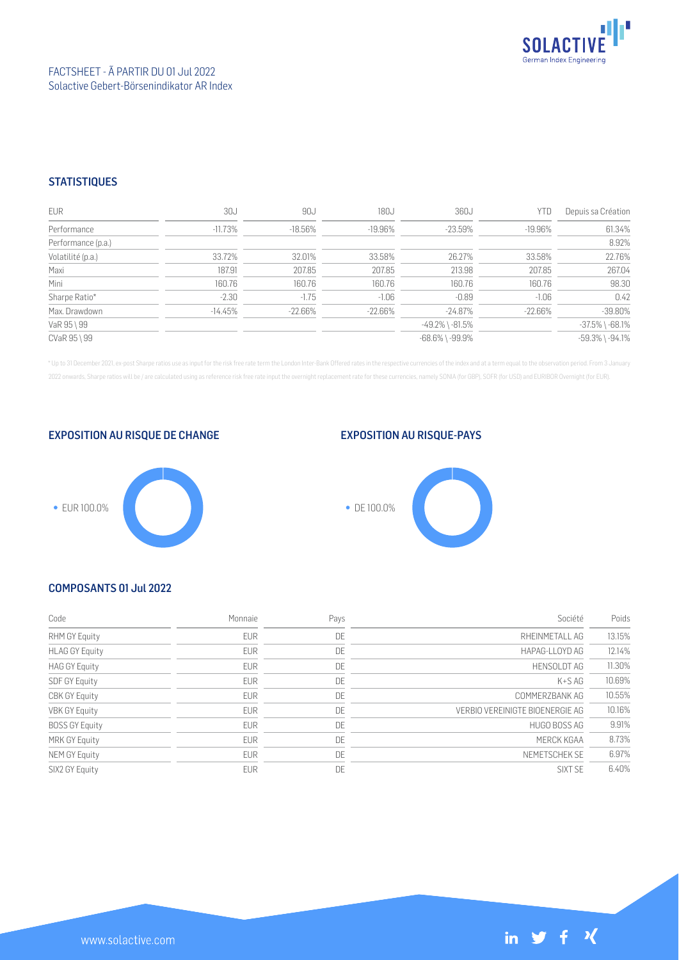

## **STATISTIQUES**

| <b>EUR</b>         | 30J        | 90J        | 180J       | 360J                  | YTD       | Depuis sa Création    |
|--------------------|------------|------------|------------|-----------------------|-----------|-----------------------|
| Performance        | $-11.73\%$ | $-18.56\%$ | $-19.96%$  | $-23.59\%$            | -19.96%   | 61.34%                |
| Performance (p.a.) |            |            |            |                       |           | 8.92%                 |
| Volatilité (p.a.)  | 33.72%     | 32.01%     | 33.58%     | 26.27%                | 33.58%    | 22.76%                |
| Maxi               | 187.91     | 207.85     | 207.85     | 213.98                | 207.85    | 267.04                |
| Mini               | 160.76     | 160.76     | 160.76     | 160.76                | 160.76    | 98.30                 |
| Sharpe Ratio*      | $-2.30$    | $-1.75$    | $-1.06$    | $-0.89$               | $-1.06$   | 0.42                  |
| Max. Drawdown      | $-14.45\%$ | -22.66%    | $-22.66\%$ | $-24.87\%$            | $-22.66%$ | $-39.80%$             |
| VaR 95 \ 99        |            |            |            | -49.2% \ -81.5%       |           | $-37.5\%$ \ $-68.1\%$ |
| CVaR 95 \ 99       |            |            |            | $-68.6\%$ \ $-99.9\%$ |           | $-59.3\%$ \ $-94.1\%$ |

\* Up to 31 December 2021, ex-post Sharpe ratios use as input for the risk free rate term the London Inter-Bank Offered rates in the respective currencies of the index and at a term equal to the observation period. From 3 J 2022 onwards, Sharpe ratios will be / are calculated using as reference risk free rate input the overnight replacement rate for these currencies, namely SONIA (for GBP), SOFR (for USD) and EURIBOR Overnight (for EUR).



### EXPOSITION AU RISQUE-PAYS



## COMPOSANTS 01 Jul 2022

| Code                  | Monnaie    | Pays | Société                         | Poids  |
|-----------------------|------------|------|---------------------------------|--------|
| RHM GY Equity         | <b>EUR</b> | DE   | RHEINMETALL AG                  | 13.15% |
| <b>HLAG GY Equity</b> | <b>EUR</b> | DE   | HAPAG-LLOYD AG                  | 12.14% |
| <b>HAG GY Equity</b>  | <b>EUR</b> | DE   | <b>HENSOLDT AG</b>              | 11.30% |
| SDF GY Equity         | <b>EUR</b> | DE   | $K+SAG$                         | 10.69% |
| <b>CBK GY Equity</b>  | <b>EUR</b> | DE   | COMMERZBANK AG                  | 10.55% |
| VBK GY Equity         | EUR        | DE   | VERBIO VEREINIGTE BIOENERGIE AG | 10.16% |
| <b>BOSS GY Equity</b> | <b>EUR</b> | DE   | HUGO BOSS AG                    | 9.91%  |
| MRK GY Equity         | <b>EUR</b> | DE   | MERCK KGAA                      | 8.73%  |
| NEM GY Equity         | <b>EUR</b> | DE   | NEMETSCHEK SE                   | 6.97%  |
| SIX2 GY Equity        | <b>EUR</b> | DE   | SIXT SF                         | 6.40%  |